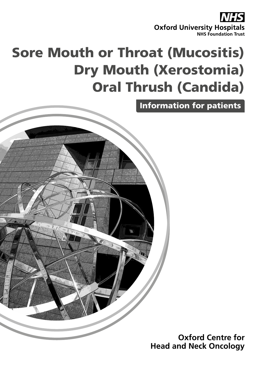**Oxford University Hospitals NHS Foundation Trust** 

# Sore Mouth or Throat (Mucositis) Dry Mouth (Xerostomia) Oral Thrush (Candida)

Information for patients

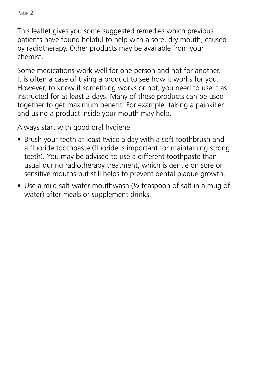This leaflet gives you some suggested remedies which previous patients have found helpful to help with a sore, dry mouth, caused by radiotherapy. Other products may be available from your chemist.

Some medications work well for one person and not for another. It is often a case of trying a product to see how it works for you. However, to know if something works or not, you need to use it as instructed for at least 3 days. Many of these products can be used together to get maximum benefit. For example, taking a painkiller and using a product inside your mouth may help.

Always start with good oral hygiene:

- Brush your teeth at least twice a day with a soft toothbrush and a fluoride toothpaste (fluoride is important for maintaining strong teeth). You may be advised to use a different toothpaste than usual during radiotherapy treatment, which is gentle on sore or sensitive mouths but still helps to prevent dental plaque growth.
- Use a mild salt-water mouthwash (½ teaspoon of salt in a mug of water) after meals or supplement drinks.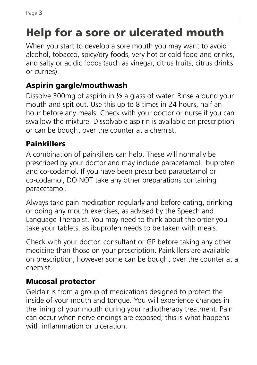### Help for a sore or ulcerated mouth

When you start to develop a sore mouth you may want to avoid alcohol, tobacco, spicy/dry foods, very hot or cold food and drinks, and salty or acidic foods (such as vinegar, citrus fruits, citrus drinks or curries).

#### Aspirin gargle/mouthwash

Dissolve 300mg of aspirin in ½ a glass of water. Rinse around your mouth and spit out. Use this up to 8 times in 24 hours, half an hour before any meals. Check with your doctor or nurse if you can swallow the mixture. Dissolvable aspirin is available on prescription or can be bought over the counter at a chemist.

#### Painkillers

A combination of painkillers can help. These will normally be prescribed by your doctor and may include paracetamol, ibuprofen and co-codamol. If you have been prescribed paracetamol or co-codamol, DO NOT take any other preparations containing paracetamol.

Always take pain medication regularly and before eating, drinking or doing any mouth exercises, as advised by the Speech and Language Therapist. You may need to think about the order you take your tablets, as ibuprofen needs to be taken with meals.

Check with your doctor, consultant or GP before taking any other medicine than those on your prescription. Painkillers are available on prescription, however some can be bought over the counter at a chemist.

#### Mucosal protector

Gelclair is from a group of medications designed to protect the inside of your mouth and tongue. You will experience changes in the lining of your mouth during your radiotherapy treatment. Pain can occur when nerve endings are exposed; this is what happens with inflammation or ulceration.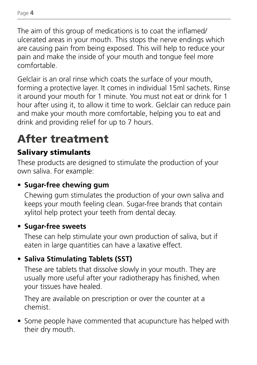The aim of this group of medications is to coat the inflamed/ ulcerated areas in your mouth. This stops the nerve endings which are causing pain from being exposed. This will help to reduce your pain and make the inside of your mouth and tongue feel more comfortable.

Gelclair is an oral rinse which coats the surface of your mouth, forming a protective layer. It comes in individual 15ml sachets. Rinse it around your mouth for 1 minute. You must not eat or drink for 1 hour after using it, to allow it time to work. Gelclair can reduce pain and make your mouth more comfortable, helping you to eat and drink and providing relief for up to 7 hours.

### After treatment

#### Salivary stimulants

These products are designed to stimulate the production of your own saliva. For example:

#### **• Sugar-free chewing gum**

 Chewing gum stimulates the production of your own saliva and keeps your mouth feeling clean. Sugar-free brands that contain xylitol help protect your teeth from dental decay.

#### **• Sugar-free sweets**

 These can help stimulate your own production of saliva, but if eaten in large quantities can have a laxative effect.

#### **• Saliva Stimulating Tablets (SST)**

 These are tablets that dissolve slowly in your mouth. They are usually more useful after your radiotherapy has finished, when your tissues have healed.

 They are available on prescription or over the counter at a chemist.

• Some people have commented that acupuncture has helped with their dry mouth.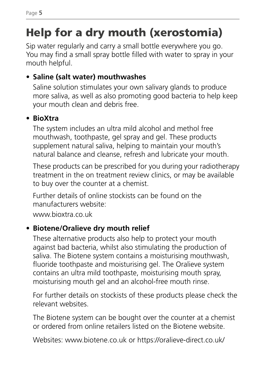## Help for a dry mouth (xerostomia)

Sip water regularly and carry a small bottle everywhere you go. You may find a small spray bottle filled with water to spray in your mouth helpful.

#### **• Saline (salt water) mouthwashes**

 Saline solution stimulates your own salivary glands to produce more saliva, as well as also promoting good bacteria to help keep your mouth clean and debris free.

#### **• BioXtra**

 The system includes an ultra mild alcohol and methol free mouthwash, toothpaste, gel spray and gel. These products supplement natural saliva, helping to maintain your mouth's natural balance and cleanse, refresh and lubricate your mouth.

 These products can be prescribed for you during your radiotherapy treatment in the on treatment review clinics, or may be available to buy over the counter at a chemist.

 Further details of online stockists can be found on the manufacturers website:

www.bioxtra.co.uk

#### **• Biotene/Oralieve dry mouth relief**

 These alternative products also help to protect your mouth against bad bacteria, whilst also stimulating the production of saliva. The Biotene system contains a moisturising mouthwash, fluoride toothpaste and moisturising gel. The Oralieve system contains an ultra mild toothpaste, moisturising mouth spray, moisturising mouth gel and an alcohol-free mouth rinse.

 For further details on stockists of these products please check the relevant websites.

 The Biotene system can be bought over the counter at a chemist or ordered from online retailers listed on the Biotene website.

Websites: www.biotene.co.uk or https://oralieve-direct.co.uk/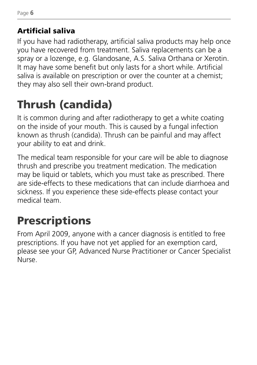#### Artificial saliva

If you have had radiotherapy, artificial saliva products may help once you have recovered from treatment. Saliva replacements can be a spray or a lozenge, e.g. Glandosane, A.S. Saliva Orthana or Xerotin. It may have some benefit but only lasts for a short while. Artificial saliva is available on prescription or over the counter at a chemist; they may also sell their own-brand product.

## Thrush (candida)

It is common during and after radiotherapy to get a white coating on the inside of your mouth. This is caused by a fungal infection known as thrush (candida). Thrush can be painful and may affect your ability to eat and drink.

The medical team responsible for your care will be able to diagnose thrush and prescribe you treatment medication. The medication may be liquid or tablets, which you must take as prescribed. There are side-effects to these medications that can include diarrhoea and sickness. If you experience these side-effects please contact your medical team.

## **Prescriptions**

From April 2009, anyone with a cancer diagnosis is entitled to free prescriptions. If you have not yet applied for an exemption card, please see your GP, Advanced Nurse Practitioner or Cancer Specialist Nurse.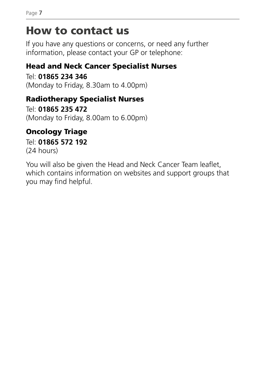Page **7**

### How to contact us

If you have any questions or concerns, or need any further information, please contact your GP or telephone:

#### Head and Neck Cancer Specialist Nurses

Tel: **01865 234 346** (Monday to Friday, 8.30am to 4.00pm)

#### Radiotherapy Specialist Nurses

Tel: **01865 235 472** (Monday to Friday, 8.00am to 6.00pm)

#### Oncology Triage

Tel: **01865 572 192**  $(24 \text{ hours})$ 

You will also be given the Head and Neck Cancer Team leaflet, which contains information on websites and support groups that you may find helpful.